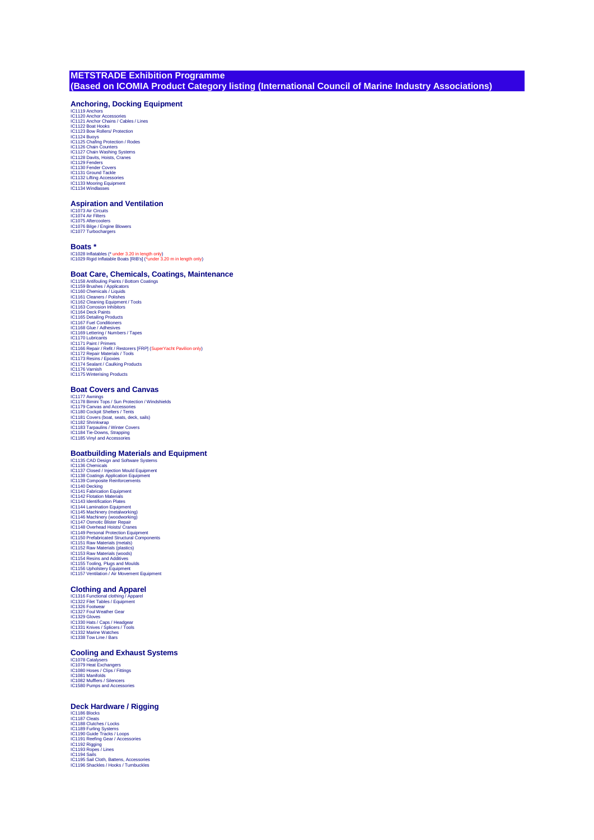# **METSTRADE Exhibition Programme (Based on ICOMIA Product Category listing (International Council of Marine Industry Associations)**

# **Anchoring, Docking Equipment**

IC1119 Anchors<br>IC1119 Anchors<br>IC1121 Anchor Chains / Cables / Lines<br>IC1121 Anchor Chains / Cables / Lines<br>IC1122 Boat Hooks<br>IC1124 Buoys Rollers / Protection / Rodes<br>IC1125 Chain Drumes / Steps<br>IC1125 Davis, Hoistis, Crane IC1132 Lifting Accessories IC1133 Mooring Equipment IC1134 Windlasses

### **Aspiration and Ventilation**

IC1073 Air Circuits IC1074 Air Filters IC1075 Aftercoolers IC1076 Bilge / Engine Blowers IC1077 Turbochargers

### **Boats \***

IC1028 Inflatables (\* under 3.20 in length only) IC1029 Rigid Inflatable Boats [RIB's] (\*under 3.20 m in length only)

### **Boat Care, Chemicals, Coatings, Maintenance**

IC1158 Antifouling Paints / Bottom Coatings<br>IC1158 Antifouling Paints / Bottom Coatings<br>IC1160 Chemicals / Liquids<br>IC1161 Cleaners / Polishes<br>IC1162 Cleaning Equipment / Tools<br>IC1163 Cleaning Equipment<br>IC1165 Detailing Pro IC1171 Paint / Primers<br>IC1166 Repair / Refit / Restorers [FRP] (SuperYacht Pavilion only)<br>IC1172 Repair Materials / Tools<br>IC1173 Resins / Epoxies<br>IC1174 Sealant / Caulking Products<br>IC1176 Winterising Products<br>IC1175 Winter

### **Boat Covers and Canvas**

IC1177 Awnings IC1178 Bimini Tops / Sun Protection / Windshields IC1179 Canvas and Accessories<br>IC1180 Cockpit Shelters / Tents<br>IC1181 Covers (boat, seats, deck, sails)<br>IC1182 Shrinkwrap<br>IC1184 Tarpaulins / Winter Covers<br>IC1184 Tie-Downs, Strapping<br>IC1185 Vinyl and Accessories

## **Boatbuilding Materials and Equipment**

IC1135 CAD Design and Software Systems<br>IC1136 CAD Design and Software Systems<br>IC1137 Closed / Injection Mould Equipment<br>IC1138 Coatings Application Equipment<br>IC1139 Connexis Reinforcements<br>IC1141 Decking<br>IC1141 Decking<br>IC1 IC1155 Tooling, Plugs and Moulds IC1156 Upholstery Equipment IC1157 Ventilation / Air Movement Equipment

## **Clothing and Apparel**

IC1316 Functional clothing / Apparel IC1322 Filet Tables / Equipment IC1326 Footwear IC1327 Foul Weather Gear IC1329 Gloves IC1330 Hats / Caps / Headgear IC1331 Knives / Splicers / Tools IC1332 Marine Watches IC1338 Tow Line / Bars

### **Cooling and Exhaust Systems**

IC1078 Catalysers<br>IC1079 Heat Exchangers<br>IC1080 Hoses / Clips / Fittings<br>IC1081 Manifolds<br>IC1082 Mufflers / Silencers<br>IC1580 Pumps and Accessories

### **Deck Hardware / Rigging**

IC1186 Blocks IC1187 Cleats IC1188 Clutches / Locks IC1189 Furling Systems IC1190 Guide Tracks / Loops IC1191 Reefing Gear / Accessories IC1192 Rigging IC1193 Ropes / Lines IC1194 Sails IC1195 Sail Cloth, Battens, Accessories IC1196 Shackles / Hooks / Turnbuckles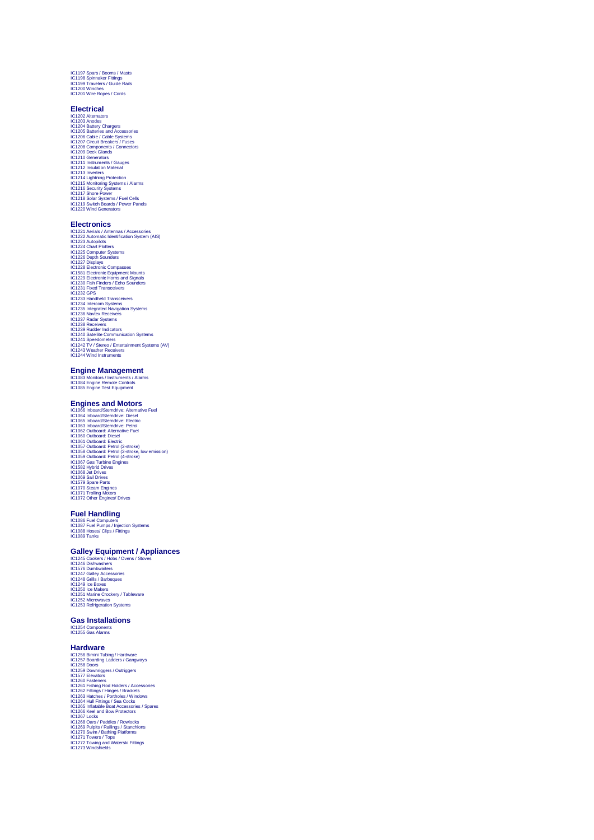IC1197 Spars / Booms / Masts IC1198 Spinnaker Fittings IC1199 Travelers / Guide Rails IC1200 Winches IC1201 Wire Ropes / Cords

**Electrical**<br>Ci202 Altemators<br>C1202 Altemators<br>C1204 Batteric Chargers<br>C1205 Batteries and Accessories<br>C1205 Batteries and Accessories<br>C1202 Ciccuit Breakers / Fuses<br>C1202 Ciccuit Breakers / Fuses<br>C1220 Depressions (C1211

### **Electronics**

IC1221 Aerials / Antennas / Accessories<br>IC1223 Automatic Identification System (AIS)<br>IC1223 Automatic Identification System (AIS)<br>IC1224 Chart Plotters<br>IC1226 Computer Systems<br>IC1222 Depth Sounders<br>IC1222 Dels Chart Compas IC1234 Handheld Transceivers<br>IC1234 Intercom Systems<br>IC1236 Navtex Receivers<br>IC1236 Navtex Receivers<br>IC1237 Radar Systems<br>IC1239 Rudder Indicators<br>IC1239 Rudder Indicators<br>IC1240 Satellite Communication Systems IC1241 Speedometers IC1242 TV / Stereo / Entertainment Systems (AV) IC1243 Weather Receivers IC1244 Wind Instruments

## **Engine Management**

IC1083 Monitors / Instruments / Alarms IC1084 Engine Remote Controls IC1085 Engine Test Equipment

# **Engines and Motors**

C1066 Inbard/Sterndrive: Alternative Fuel<br>C1066 Inbard/Sterndrive: Desel<br>C1064 Inbard/Sterndrive: Desel<br>C1063 Inbard/Sterndrive: Petrol<br>C1063 Inbard/Sterndrive: Petrol<br>C1063 Outbard: Desel<br>C1060 Outbard: Desel<br>C1060 Outbar IC1070 Steam Engines IC1071 Trolling Motors IC1072 Other Engines/ Drives

# **Fuel Handling**

IC1086 Fuel Computers IC1087 Fuel Pumps / Injection Systems IC1088 Hoses/ Clips / Fittings IC1089 Tanks

## **Galley Equipment / Appliances**

IC1245 Cookers / Hobs / Ovens / Stoves IC1246 Dishwashers IC1576 Dumbwaiters IC1247 Galley Accessories IC1248 Grills / Barbeques IC1249 Ice Boxes IC1250 Ice Makers IC1251 Marine Crockery / Tableware IC1252 Microwaves IC1253 Refrigeration Systems

### **Gas Installations**

IC1254 Components IC1255 Gas Alarms

**Hardware**<br>CC1256 Binini Tubing / Hardware<br>CC1256 Binini Tubing / Hardware<br>CC1258 Doors<br>CC1259 Downriggers / Outriggers<br>CC1259 Downriggers / Outriggers<br>CC1260 Fashing Rod Holders / Accessories<br>CC1262 Fishing Rod Holders /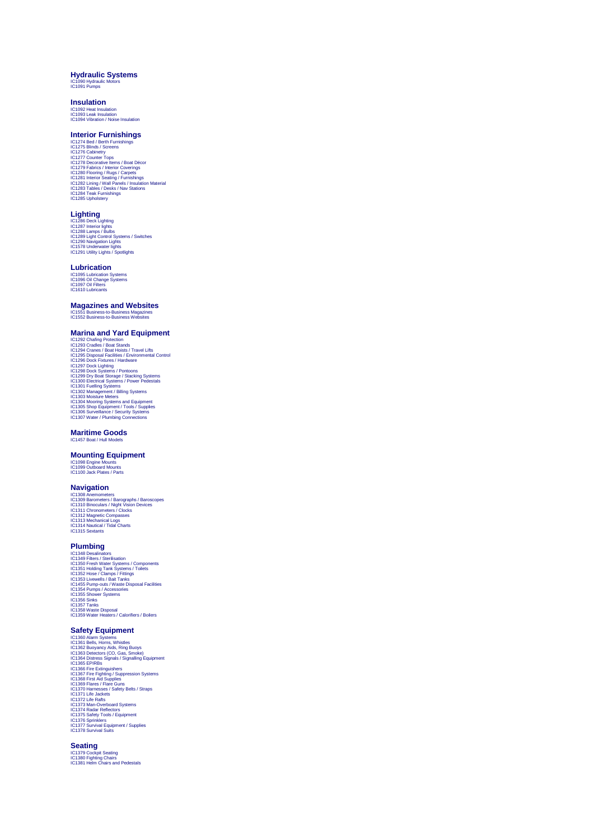## **Hydraulic Systems** IC1090 Hydraulic Motors IC1091 Pumps

# **Insulation**

IC1092 Heat Insulation IC1093 Leak Insulation IC1094 Vibration / Noise Insulation

# **Interior Furnishings**

1C1274 Bed / Berth Furnishings<br>1C1274 Bed / Berth Furnishings<br>1C1276 Cabinetry<br>1C1277 Counter Tops<br>1C1277 Counter Tops<br>1C1279 Decorative ltems / Boat Décor<br>1C1229 Tabires / Interior Coverings<br>1C1281 Interior Seating / Furn

**Lic1**286 Deck Lighting<br>IC1288 Deck Lighting<br>IC1288 Lamps / Bulbs<br>IC1289 Light Control Systems / Switches<br>IC1290 Uavigation Lights<br>IC1291 Utility Lights / Spotlights<br>IC1291 Utility Lights / Spotlights

### **Lubrication**

IC1095 Lubrication Systems IC1096 Oil Change Systems IC1097 Oil Filters IC1610 Lubricants

### **Magazines and Websites**

IC1551 Business-to-Business Magazines IC1552 Business-to-Business Websites

## **Marina and Yard Equipment**

IC1292 Chafing Protection<br>
IC1292 Chafing Protection<br>
IC1293 Cradles / Boat Stands<br>
IC1294 Cranes / Boat Hoists / Travel Lifts<br>
IC1295 Disposal Facilities / Environmental Control<br>
IC1297 Dock Lighting<br>
IC1297 Dock Lighting

### **Maritime Goods**

IC1457 Boat / Hull Mod

## **Mounting Equipment**

IC1098 Engine Mounts IC1099 Outboard Mounts IC1100 Jack Plates / Parts

# **Navigation**

IC1308 Anemometers / Barographs / Baroscopes<br>IC1308 Anemometers / Barographs / Baroscopes<br>IC1310 Bincoulars / Night Vision Devices<br>IC1312 IMagnetic Compasses<br>IC1312 Machanical Logs<br>IC1313 Nachanical Logs<br>IC1314 Sextants<br>IC

# **Plumbing**

IC1348 Desailnators<br>IC1349 Filters / Sterilisation<br>IC1350 Fresh Water Systems / Components<br>IC1351 Holding Tank Systems / Toilets<br>IC1352 Hose / Clamps / Fittings<br>IC1353 Livewills / Balt Tanks<br>IC1354 Pump-outs / Water Dispos

# **Safety Equipment**

IC1360 Alam Systems<br>C1360 Alam Systems<br>IC1362 Buoyancy Aids, Ring Buoys<br>IC1363 Detectors (CO, Gas, Smoke)<br>IC1363 Detectors (CO, Gas, Smoke)<br>IC1366 Fire Extinguishers<br>IC1366 Fire Extinguishers<br>IC1367 Fire Fyntimg / Suppress IC1373 Man-Overboard Systems<br>IC1374 Radar Reflectors<br>IC1374 Radar Reflectors<br>IC1376 Sprinklers<br>IC1377 Survival Equipment / Supplies<br>IC1377 Survival Suits

**Seating**<br>IC1379 Cockpit Seating<br>IC1380 Fighting Chairs<br>IC1381 Helm Chairs and Pedestals